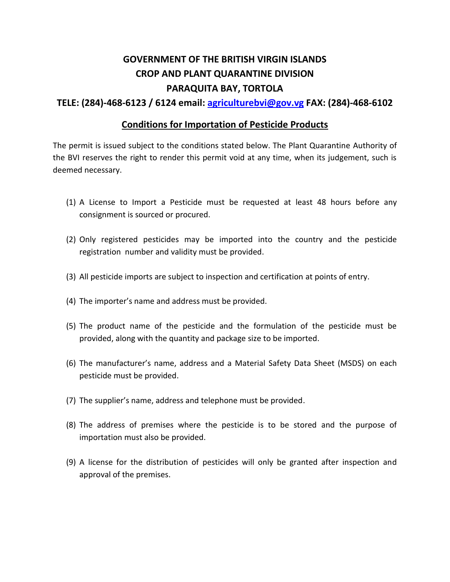## **GOVERNMENT OF THE BRITISH VIRGIN ISLANDS CROP AND PLANT QUARANTINE DIVISION PARAQUITA BAY, TORTOLA**

**TELE: (284)-468-6123 / 6124 email: [agriculturebvi@gov.vg](mailto:agriculturebvi@gov.vg) FAX: (284)-468-6102**

## **Conditions for Importation of Pesticide Products**

The permit is issued subject to the conditions stated below. The Plant Quarantine Authority of the BVI reserves the right to render this permit void at any time, when its judgement, such is deemed necessary.

- (1) A License to Import a Pesticide must be requested at least 48 hours before any consignment is sourced or procured.
- (2) Only registered pesticides may be imported into the country and the pesticide registration number and validity must be provided.
- (3) All pesticide imports are subject to inspection and certification at points of entry.
- (4) The importer's name and address must be provided.
- (5) The product name of the pesticide and the formulation of the pesticide must be provided, along with the quantity and package size to be imported.
- (6) The manufacturer's name, address and a Material Safety Data Sheet (MSDS) on each pesticide must be provided.
- (7) The supplier's name, address and telephone must be provided.
- (8) The address of premises where the pesticide is to be stored and the purpose of importation must also be provided.
- (9) A license for the distribution of pesticides will only be granted after inspection and approval of the premises.